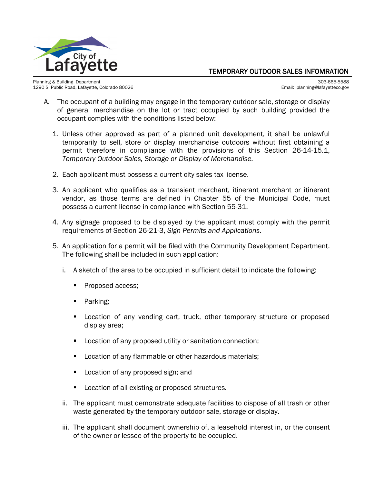

## TEMPORARY OUTDOOR SALES INFOMRATION

Planning & Building Department 303-665-5588<br>1290 S. Public Road, Lafayette, Colorado 80026 Santiago and Santiago and Santiago and Santiago and Santiago an 1290 S. Public Road, Lafayette, Colorado 80026

- A. The occupant of a building may engage in the temporary outdoor sale, storage or display of general merchandise on the lot or tract occupied by such building provided the occupant complies with the conditions listed below:
	- 1. Unless other approved as part of a planned unit development, it shall be unlawful temporarily to sell, store or display merchandise outdoors without first obtaining a permit therefore in compliance with the provisions of this Section 26-14-15.1, *Temporary Outdoor Sales, Storage or Display of Merchandise.*
	- 2. Each applicant must possess a current city sales tax license.
	- 3. An applicant who qualifies as a transient merchant, itinerant merchant or itinerant vendor, as those terms are defined in Chapter 55 of the Municipal Code, must possess a current license in compliance with Section 55-31.
	- 4. Any signage proposed to be displayed by the applicant must comply with the permit requirements of Section 26-21-3, *Sign Permits and Applications.*
	- 5. An application for a permit will be filed with the Community Development Department. The following shall be included in such application:
		- i. A sketch of the area to be occupied in sufficient detail to indicate the following:
			- Proposed access;
			- Parking;
			- Location of any vending cart, truck, other temporary structure or proposed display area;
			- **Location of any proposed utility or sanitation connection;**
			- Location of any flammable or other hazardous materials;
			- Location of any proposed sign; and
			- **Location of all existing or proposed structures.**
		- ii. The applicant must demonstrate adequate facilities to dispose of all trash or other waste generated by the temporary outdoor sale, storage or display.
		- iii. The applicant shall document ownership of, a leasehold interest in, or the consent of the owner or lessee of the property to be occupied.